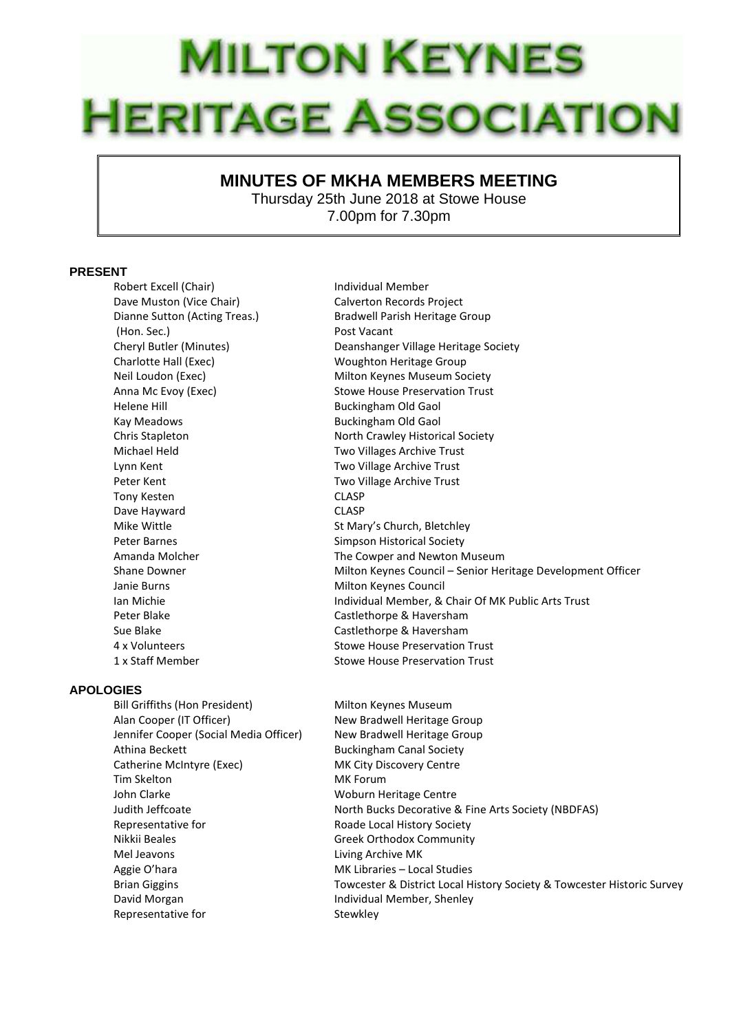## **MILTON KEYNES HERITAGE ASSOCIATION**

## **MINUTES OF MKHA MEMBERS MEETING**

Thursday 25th June 2018 at Stowe House 7.00pm for 7.30pm

## **PRESENT**

Robert Excell (Chair) **Individual Member** Dave Muston (Vice Chair) Calverton Records Project (Hon. Sec.) Post Vacant Helene Hill Buckingham Old Gaol Kay Meadows **Buckingham Old Gaol** Lynn Kent Two Village Archive Trust Peter Kent Two Village Archive Trust Tony Kesten CLASP Dave Hayward CLASP Janie Burns **Milton Keynes Council** 

## **APOLOGIES**

Bill Griffiths (Hon President) Milton Keynes Museum Alan Cooper (IT Officer) New Bradwell Heritage Group Jennifer Cooper (Social Media Officer) New Bradwell Heritage Group Athina Beckett **Buckingham Canal Society** Catherine McIntyre (Exec) MK City Discovery Centre Tim Skelton MK Forum John Clarke Woburn Heritage Centre Representative for **Roade Local History Society** Nikkii Beales Greek Orthodox Community Mel Jeavons Living Archive MK Aggie O'hara MK Libraries – Local Studies David Morgan **Individual Member, Shenley** Representative for Stewkley

Dianne Sutton (Acting Treas.) Bradwell Parish Heritage Group Cheryl Butler (Minutes) Deanshanger Village Heritage Society Charlotte Hall (Exec) Woughton Heritage Group Neil Loudon (Exec) Milton Keynes Museum Society Anna Mc Evoy (Exec) Stowe House Preservation Trust Chris Stapleton North Crawley Historical Society Michael Held Two Villages Archive Trust Mike Wittle **St Mary's Church, Bletchley** Peter Barnes **Simpson Historical Society** Amanda Molcher The Cowper and Newton Museum Shane Downer **Milton Keynes Council – Senior Heritage Development Officer** Ian Michie Individual Member, & Chair Of MK Public Arts Trust Peter Blake Castlethorpe & Haversham Sue Blake Castlethorpe & Haversham 4 x Volunteers Stowe House Preservation Trust 1 x Staff Member Stowe House Preservation Trust

Judith Jeffcoate North Bucks Decorative & Fine Arts Society (NBDFAS) Brian Giggins Towcester & District Local History Society & Towcester Historic Survey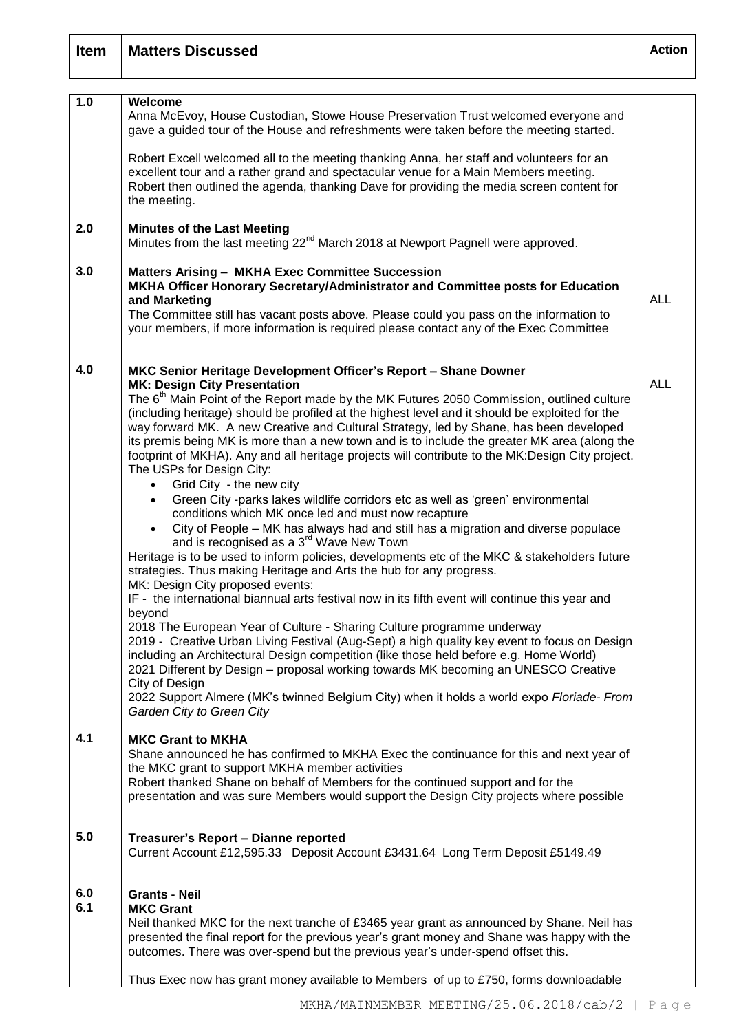| <b>Item</b> | <b>Matters Discussed</b>                                                                                                                                                                                                                                                                                                                                                                                                                                                                                                                                                                                                                                                                                                                                                                                                                                                                                 | <b>Action</b> |
|-------------|----------------------------------------------------------------------------------------------------------------------------------------------------------------------------------------------------------------------------------------------------------------------------------------------------------------------------------------------------------------------------------------------------------------------------------------------------------------------------------------------------------------------------------------------------------------------------------------------------------------------------------------------------------------------------------------------------------------------------------------------------------------------------------------------------------------------------------------------------------------------------------------------------------|---------------|
|             |                                                                                                                                                                                                                                                                                                                                                                                                                                                                                                                                                                                                                                                                                                                                                                                                                                                                                                          |               |
| 1.0         | Welcome<br>Anna McEvoy, House Custodian, Stowe House Preservation Trust welcomed everyone and<br>gave a guided tour of the House and refreshments were taken before the meeting started.                                                                                                                                                                                                                                                                                                                                                                                                                                                                                                                                                                                                                                                                                                                 |               |
|             | Robert Excell welcomed all to the meeting thanking Anna, her staff and volunteers for an<br>excellent tour and a rather grand and spectacular venue for a Main Members meeting.<br>Robert then outlined the agenda, thanking Dave for providing the media screen content for<br>the meeting.                                                                                                                                                                                                                                                                                                                                                                                                                                                                                                                                                                                                             |               |
| 2.0         | <b>Minutes of the Last Meeting</b><br>Minutes from the last meeting 22 <sup>nd</sup> March 2018 at Newport Pagnell were approved.                                                                                                                                                                                                                                                                                                                                                                                                                                                                                                                                                                                                                                                                                                                                                                        |               |
| 3.0         | <b>Matters Arising - MKHA Exec Committee Succession</b><br>MKHA Officer Honorary Secretary/Administrator and Committee posts for Education<br>and Marketing<br>The Committee still has vacant posts above. Please could you pass on the information to<br>your members, if more information is required please contact any of the Exec Committee                                                                                                                                                                                                                                                                                                                                                                                                                                                                                                                                                         | <b>ALL</b>    |
|             |                                                                                                                                                                                                                                                                                                                                                                                                                                                                                                                                                                                                                                                                                                                                                                                                                                                                                                          |               |
| 4.0         | MKC Senior Heritage Development Officer's Report - Shane Downer<br><b>MK: Design City Presentation</b><br>The 6 <sup>th</sup> Main Point of the Report made by the MK Futures 2050 Commission, outlined culture<br>(including heritage) should be profiled at the highest level and it should be exploited for the<br>way forward MK. A new Creative and Cultural Strategy, led by Shane, has been developed<br>its premis being MK is more than a new town and is to include the greater MK area (along the<br>footprint of MKHA). Any and all heritage projects will contribute to the MK:Design City project.<br>The USPs for Design City:<br>Grid City - the new city<br>Green City -parks lakes wildlife corridors etc as well as 'green' environmental<br>conditions which MK once led and must now recapture<br>City of People - MK has always had and still has a migration and diverse populace | <b>ALL</b>    |
|             | and is recognised as a 3 <sup>rd</sup> Wave New Town<br>Heritage is to be used to inform policies, developments etc of the MKC & stakeholders future<br>strategies. Thus making Heritage and Arts the hub for any progress.<br>MK: Design City proposed events:<br>IF - the international biannual arts festival now in its fifth event will continue this year and<br>beyond<br>2018 The European Year of Culture - Sharing Culture programme underway                                                                                                                                                                                                                                                                                                                                                                                                                                                  |               |
|             | 2019 - Creative Urban Living Festival (Aug-Sept) a high quality key event to focus on Design<br>including an Architectural Design competition (like those held before e.g. Home World)<br>2021 Different by Design - proposal working towards MK becoming an UNESCO Creative<br>City of Design<br>2022 Support Almere (MK's twinned Belgium City) when it holds a world expo Floriade- From<br>Garden City to Green City                                                                                                                                                                                                                                                                                                                                                                                                                                                                                 |               |
| 4.1         | <b>MKC Grant to MKHA</b><br>Shane announced he has confirmed to MKHA Exec the continuance for this and next year of<br>the MKC grant to support MKHA member activities<br>Robert thanked Shane on behalf of Members for the continued support and for the<br>presentation and was sure Members would support the Design City projects where possible                                                                                                                                                                                                                                                                                                                                                                                                                                                                                                                                                     |               |
| 5.0         | Treasurer's Report - Dianne reported<br>Current Account £12,595.33 Deposit Account £3431.64 Long Term Deposit £5149.49                                                                                                                                                                                                                                                                                                                                                                                                                                                                                                                                                                                                                                                                                                                                                                                   |               |
| 6.0<br>6.1  | <b>Grants - Neil</b><br><b>MKC Grant</b><br>Neil thanked MKC for the next tranche of £3465 year grant as announced by Shane. Neil has<br>presented the final report for the previous year's grant money and Shane was happy with the<br>outcomes. There was over-spend but the previous year's under-spend offset this.                                                                                                                                                                                                                                                                                                                                                                                                                                                                                                                                                                                  |               |
|             | Thus Exec now has grant money available to Members of up to £750, forms downloadable                                                                                                                                                                                                                                                                                                                                                                                                                                                                                                                                                                                                                                                                                                                                                                                                                     |               |

 $\Gamma$ 

Τ

٦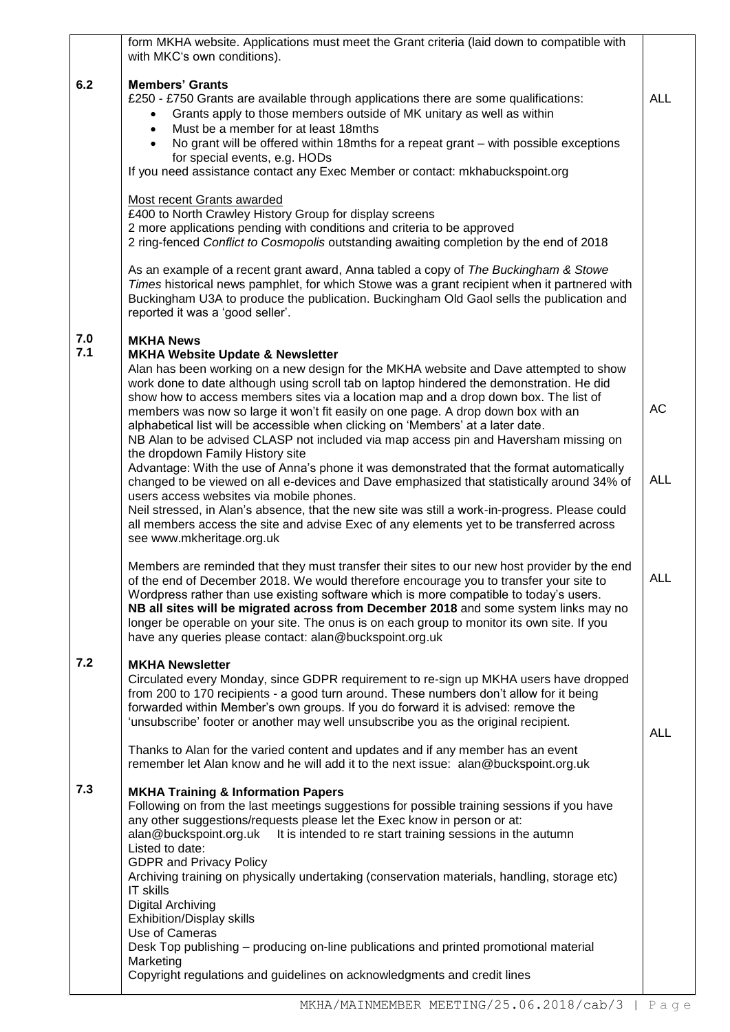|            | form MKHA website. Applications must meet the Grant criteria (laid down to compatible with<br>with MKC's own conditions).                                                                                                                                                                                                                                                                                                                                                                                                                                                      |            |
|------------|--------------------------------------------------------------------------------------------------------------------------------------------------------------------------------------------------------------------------------------------------------------------------------------------------------------------------------------------------------------------------------------------------------------------------------------------------------------------------------------------------------------------------------------------------------------------------------|------------|
| 6.2        | <b>Members' Grants</b><br>£250 - £750 Grants are available through applications there are some qualifications:<br>Grants apply to those members outside of MK unitary as well as within<br>$\bullet$<br>Must be a member for at least 18mths<br>$\bullet$<br>No grant will be offered within 18mths for a repeat grant - with possible exceptions<br>for special events, e.g. HODs<br>If you need assistance contact any Exec Member or contact: mkhabuckspoint.org                                                                                                            | <b>ALL</b> |
|            | Most recent Grants awarded<br>£400 to North Crawley History Group for display screens<br>2 more applications pending with conditions and criteria to be approved<br>2 ring-fenced Conflict to Cosmopolis outstanding awaiting completion by the end of 2018                                                                                                                                                                                                                                                                                                                    |            |
|            | As an example of a recent grant award, Anna tabled a copy of The Buckingham & Stowe<br>Times historical news pamphlet, for which Stowe was a grant recipient when it partnered with<br>Buckingham U3A to produce the publication. Buckingham Old Gaol sells the publication and<br>reported it was a 'good seller'.                                                                                                                                                                                                                                                            |            |
| 7.0<br>7.1 | <b>MKHA News</b><br><b>MKHA Website Update &amp; Newsletter</b>                                                                                                                                                                                                                                                                                                                                                                                                                                                                                                                |            |
|            | Alan has been working on a new design for the MKHA website and Dave attempted to show<br>work done to date although using scroll tab on laptop hindered the demonstration. He did<br>show how to access members sites via a location map and a drop down box. The list of<br>members was now so large it won't fit easily on one page. A drop down box with an<br>alphabetical list will be accessible when clicking on 'Members' at a later date.<br>NB Alan to be advised CLASP not included via map access pin and Haversham missing on<br>the dropdown Family History site | AC         |
|            | Advantage: With the use of Anna's phone it was demonstrated that the format automatically<br>changed to be viewed on all e-devices and Dave emphasized that statistically around 34% of<br>users access websites via mobile phones.<br>Neil stressed, in Alan's absence, that the new site was still a work-in-progress. Please could<br>all members access the site and advise Exec of any elements yet to be transferred across<br>see www.mkheritage.org.uk                                                                                                                 | <b>ALL</b> |
|            | Members are reminded that they must transfer their sites to our new host provider by the end<br>of the end of December 2018. We would therefore encourage you to transfer your site to<br>Wordpress rather than use existing software which is more compatible to today's users.<br>NB all sites will be migrated across from December 2018 and some system links may no<br>longer be operable on your site. The onus is on each group to monitor its own site. If you<br>have any queries please contact: alan@buckspoint.org.uk                                              | <b>ALL</b> |
| 7.2        | <b>MKHA Newsletter</b><br>Circulated every Monday, since GDPR requirement to re-sign up MKHA users have dropped<br>from 200 to 170 recipients - a good turn around. These numbers don't allow for it being<br>forwarded within Member's own groups. If you do forward it is advised: remove the<br>'unsubscribe' footer or another may well unsubscribe you as the original recipient.                                                                                                                                                                                         | <b>ALL</b> |
|            | Thanks to Alan for the varied content and updates and if any member has an event<br>remember let Alan know and he will add it to the next issue: alan@buckspoint.org.uk                                                                                                                                                                                                                                                                                                                                                                                                        |            |
| 7.3        | <b>MKHA Training &amp; Information Papers</b><br>Following on from the last meetings suggestions for possible training sessions if you have<br>any other suggestions/requests please let the Exec know in person or at:<br>alan@buckspoint.org.uk It is intended to re start training sessions in the autumn<br>Listed to date:<br><b>GDPR and Privacy Policy</b>                                                                                                                                                                                                              |            |
|            | Archiving training on physically undertaking (conservation materials, handling, storage etc)<br><b>IT skills</b><br><b>Digital Archiving</b><br>Exhibition/Display skills<br>Use of Cameras                                                                                                                                                                                                                                                                                                                                                                                    |            |
|            | Desk Top publishing – producing on-line publications and printed promotional material<br>Marketing<br>Copyright regulations and guidelines on acknowledgments and credit lines                                                                                                                                                                                                                                                                                                                                                                                                 |            |
|            |                                                                                                                                                                                                                                                                                                                                                                                                                                                                                                                                                                                |            |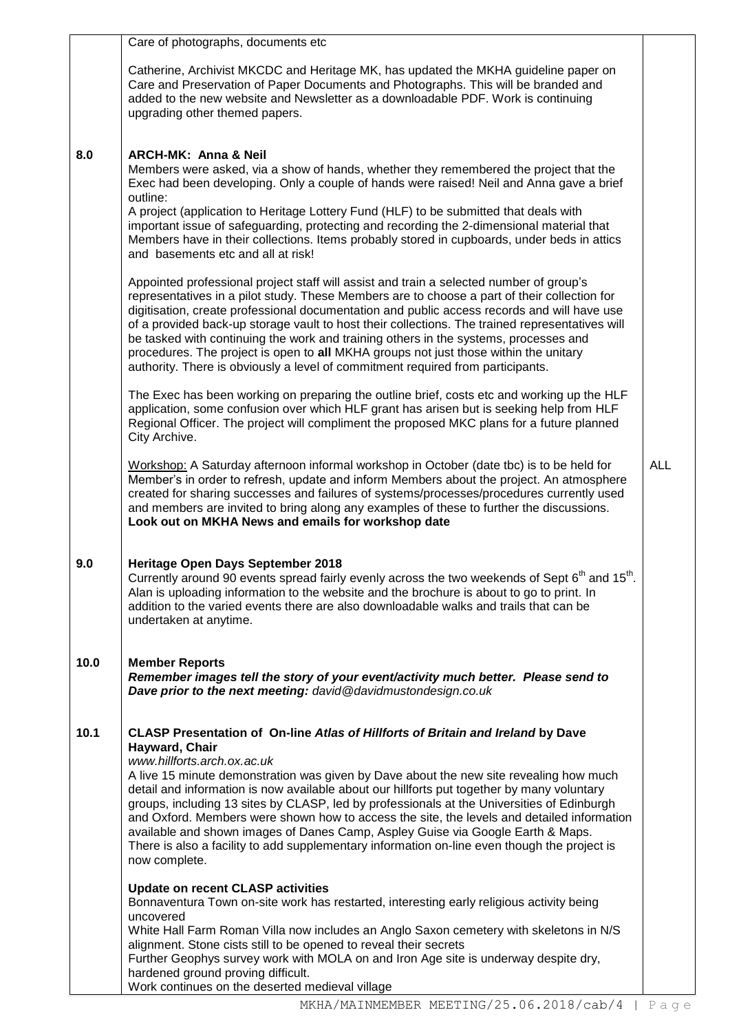|      | Care of photographs, documents etc                                                                                                                                                                                                                                                                                                                                                                                                                                                                                                                                                                                                                                                                                       |            |
|------|--------------------------------------------------------------------------------------------------------------------------------------------------------------------------------------------------------------------------------------------------------------------------------------------------------------------------------------------------------------------------------------------------------------------------------------------------------------------------------------------------------------------------------------------------------------------------------------------------------------------------------------------------------------------------------------------------------------------------|------------|
|      | Catherine, Archivist MKCDC and Heritage MK, has updated the MKHA guideline paper on<br>Care and Preservation of Paper Documents and Photographs. This will be branded and<br>added to the new website and Newsletter as a downloadable PDF. Work is continuing<br>upgrading other themed papers.                                                                                                                                                                                                                                                                                                                                                                                                                         |            |
| 8.0  | <b>ARCH-MK: Anna &amp; Neil</b><br>Members were asked, via a show of hands, whether they remembered the project that the<br>Exec had been developing. Only a couple of hands were raised! Neil and Anna gave a brief<br>outline:<br>A project (application to Heritage Lottery Fund (HLF) to be submitted that deals with<br>important issue of safeguarding, protecting and recording the 2-dimensional material that<br>Members have in their collections. Items probably stored in cupboards, under beds in attics<br>and basements etc and all at risk!                                                                                                                                                              |            |
|      | Appointed professional project staff will assist and train a selected number of group's<br>representatives in a pilot study. These Members are to choose a part of their collection for<br>digitisation, create professional documentation and public access records and will have use<br>of a provided back-up storage vault to host their collections. The trained representatives will<br>be tasked with continuing the work and training others in the systems, processes and<br>procedures. The project is open to all MKHA groups not just those within the unitary<br>authority. There is obviously a level of commitment required from participants.                                                             |            |
|      | The Exec has been working on preparing the outline brief, costs etc and working up the HLF<br>application, some confusion over which HLF grant has arisen but is seeking help from HLF<br>Regional Officer. The project will compliment the proposed MKC plans for a future planned<br>City Archive.                                                                                                                                                                                                                                                                                                                                                                                                                     |            |
|      | Workshop: A Saturday afternoon informal workshop in October (date tbc) is to be held for<br>Member's in order to refresh, update and inform Members about the project. An atmosphere<br>created for sharing successes and failures of systems/processes/procedures currently used<br>and members are invited to bring along any examples of these to further the discussions.<br>Look out on MKHA News and emails for workshop date                                                                                                                                                                                                                                                                                      | <b>ALL</b> |
| 9.0  | Heritage Open Days September 2018<br>Currently around 90 events spread fairly evenly across the two weekends of Sept 6 <sup>th</sup> and 15 <sup>th</sup> .<br>Alan is uploading information to the website and the brochure is about to go to print. In<br>addition to the varied events there are also downloadable walks and trails that can be<br>undertaken at anytime.                                                                                                                                                                                                                                                                                                                                             |            |
| 10.0 | <b>Member Reports</b><br>Remember images tell the story of your event/activity much better. Please send to<br>Dave prior to the next meeting: david@davidmustondesign.co.uk                                                                                                                                                                                                                                                                                                                                                                                                                                                                                                                                              |            |
| 10.1 | CLASP Presentation of On-line Atlas of Hillforts of Britain and Ireland by Dave<br>Hayward, Chair<br>www.hillforts.arch.ox.ac.uk<br>A live 15 minute demonstration was given by Dave about the new site revealing how much<br>detail and information is now available about our hillforts put together by many voluntary<br>groups, including 13 sites by CLASP, led by professionals at the Universities of Edinburgh<br>and Oxford. Members were shown how to access the site, the levels and detailed information<br>available and shown images of Danes Camp, Aspley Guise via Google Earth & Maps.<br>There is also a facility to add supplementary information on-line even though the project is<br>now complete. |            |
|      | <b>Update on recent CLASP activities</b><br>Bonnaventura Town on-site work has restarted, interesting early religious activity being<br>uncovered<br>White Hall Farm Roman Villa now includes an Anglo Saxon cemetery with skeletons in N/S<br>alignment. Stone cists still to be opened to reveal their secrets<br>Further Geophys survey work with MOLA on and Iron Age site is underway despite dry,<br>hardened ground proving difficult.<br>Work continues on the deserted medieval village                                                                                                                                                                                                                         |            |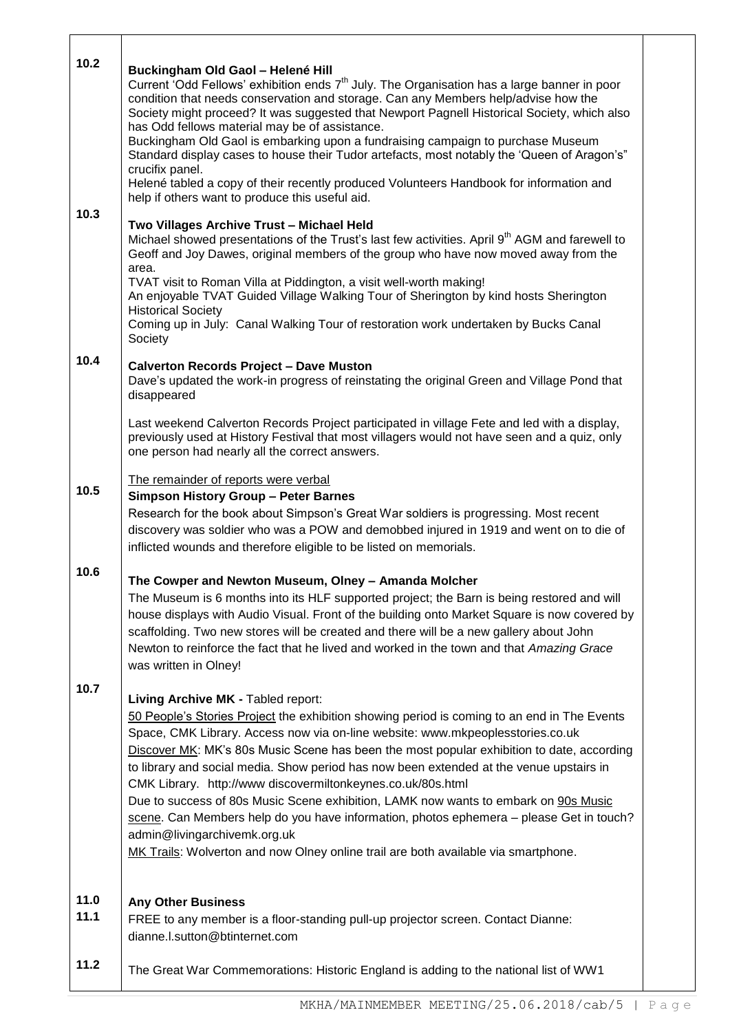| 10.2         | Buckingham Old Gaol - Helené Hill<br>Current 'Odd Fellows' exhibition ends 7 <sup>th</sup> July. The Organisation has a large banner in poor<br>condition that needs conservation and storage. Can any Members help/advise how the<br>Society might proceed? It was suggested that Newport Pagnell Historical Society, which also<br>has Odd fellows material may be of assistance.<br>Buckingham Old Gaol is embarking upon a fundraising campaign to purchase Museum<br>Standard display cases to house their Tudor artefacts, most notably the 'Queen of Aragon's"<br>crucifix panel.<br>Helené tabled a copy of their recently produced Volunteers Handbook for information and<br>help if others want to produce this useful aid.                                             |  |
|--------------|------------------------------------------------------------------------------------------------------------------------------------------------------------------------------------------------------------------------------------------------------------------------------------------------------------------------------------------------------------------------------------------------------------------------------------------------------------------------------------------------------------------------------------------------------------------------------------------------------------------------------------------------------------------------------------------------------------------------------------------------------------------------------------|--|
| 10.3         | Two Villages Archive Trust - Michael Held<br>Michael showed presentations of the Trust's last few activities. April 9 <sup>th</sup> AGM and farewell to<br>Geoff and Joy Dawes, original members of the group who have now moved away from the<br>area.<br>TVAT visit to Roman Villa at Piddington, a visit well-worth making!<br>An enjoyable TVAT Guided Village Walking Tour of Sherington by kind hosts Sherington<br><b>Historical Society</b><br>Coming up in July: Canal Walking Tour of restoration work undertaken by Bucks Canal<br>Society                                                                                                                                                                                                                              |  |
| 10.4         | <b>Calverton Records Project - Dave Muston</b><br>Dave's updated the work-in progress of reinstating the original Green and Village Pond that<br>disappeared<br>Last weekend Calverton Records Project participated in village Fete and led with a display,<br>previously used at History Festival that most villagers would not have seen and a quiz, only<br>one person had nearly all the correct answers.                                                                                                                                                                                                                                                                                                                                                                      |  |
| 10.5         | The remainder of reports were verbal<br><b>Simpson History Group - Peter Barnes</b><br>Research for the book about Simpson's Great War soldiers is progressing. Most recent<br>discovery was soldier who was a POW and demobbed injured in 1919 and went on to die of<br>inflicted wounds and therefore eligible to be listed on memorials.                                                                                                                                                                                                                                                                                                                                                                                                                                        |  |
| 10.6         | The Cowper and Newton Museum, Olney - Amanda Molcher<br>The Museum is 6 months into its HLF supported project; the Barn is being restored and will<br>house displays with Audio Visual. Front of the building onto Market Square is now covered by<br>scaffolding. Two new stores will be created and there will be a new gallery about John<br>Newton to reinforce the fact that he lived and worked in the town and that Amazing Grace<br>was written in Olney!                                                                                                                                                                                                                                                                                                                  |  |
| 10.7         | Living Archive MK - Tabled report:<br>50 People's Stories Project the exhibition showing period is coming to an end in The Events<br>Space, CMK Library. Access now via on-line website: www.mkpeoplesstories.co.uk<br>Discover MK: MK's 80s Music Scene has been the most popular exhibition to date, according<br>to library and social media. Show period has now been extended at the venue upstairs in<br>CMK Library. http://www discovermiltonkeynes.co.uk/80s.html<br>Due to success of 80s Music Scene exhibition, LAMK now wants to embark on 90s Music<br>scene. Can Members help do you have information, photos ephemera - please Get in touch?<br>admin@livingarchivemk.org.uk<br>MK Trails: Wolverton and now Olney online trail are both available via smartphone. |  |
| 11.0<br>11.1 | <b>Any Other Business</b><br>FREE to any member is a floor-standing pull-up projector screen. Contact Dianne:<br>dianne.l.sutton@btinternet.com                                                                                                                                                                                                                                                                                                                                                                                                                                                                                                                                                                                                                                    |  |
| 11.2         | The Great War Commemorations: Historic England is adding to the national list of WW1                                                                                                                                                                                                                                                                                                                                                                                                                                                                                                                                                                                                                                                                                               |  |